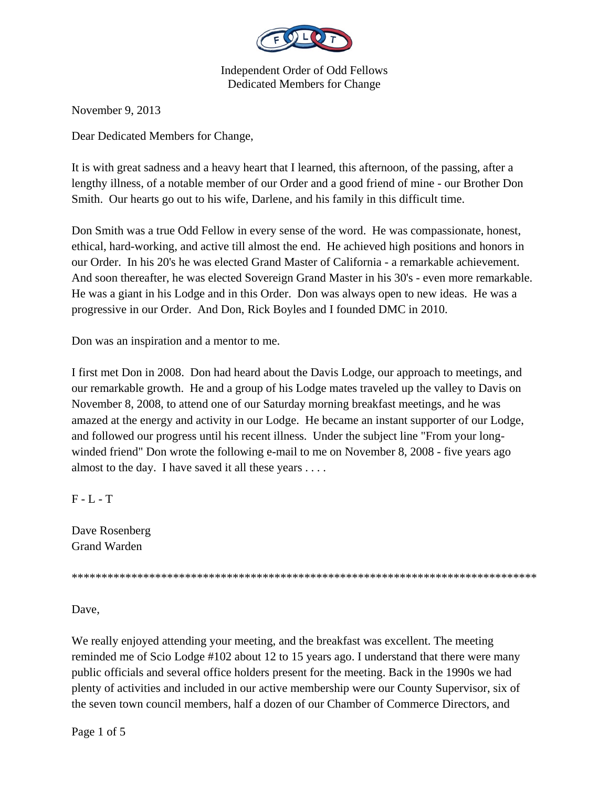

November 9, 2013

Dear Dedicated Members for Change,

It is with great sadness and a heavy heart that I learned, this afternoon, of the passing, after a lengthy illness, of a notable member of our Order and a good friend of mine - our Brother Don Smith. Our hearts go out to his wife, Darlene, and his family in this difficult time.

Don Smith was a true Odd Fellow in every sense of the word. He was compassionate, honest, ethical, hard-working, and active till almost the end. He achieved high positions and honors in our Order. In his 20's he was elected Grand Master of California - a remarkable achievement. And soon thereafter, he was elected Sovereign Grand Master in his 30's - even more remarkable. He was a giant in his Lodge and in this Order. Don was always open to new ideas. He was a progressive in our Order. And Don, Rick Boyles and I founded DMC in 2010.

Don was an inspiration and a mentor to me.

I first met Don in 2008. Don had heard about the Davis Lodge, our approach to meetings, and our remarkable growth. He and a group of his Lodge mates traveled up the valley to Davis on November 8, 2008, to attend one of our Saturday morning breakfast meetings, and he was amazed at the energy and activity in our Lodge. He became an instant supporter of our Lodge, and followed our progress until his recent illness. Under the subject line "From your longwinded friend" Don wrote the following e-mail to me on November 8, 2008 - five years ago almost to the day. I have saved it all these years . . . .

 $F - L - T$ 

Dave Rosenberg Grand Warden

\*\*\*\*\*\*\*\*\*\*\*\*\*\*\*\*\*\*\*\*\*\*\*\*\*\*\*\*\*\*\*\*\*\*\*\*\*\*\*\*\*\*\*\*\*\*\*\*\*\*\*\*\*\*\*\*\*\*\*\*\*\*\*\*\*\*\*\*\*\*\*\*\*\*\*\*\*\*

Dave,

We really enjoyed attending your meeting, and the breakfast was excellent. The meeting reminded me of Scio Lodge #102 about 12 to 15 years ago. I understand that there were many public officials and several office holders present for the meeting. Back in the 1990s we had plenty of activities and included in our active membership were our County Supervisor, six of the seven town council members, half a dozen of our Chamber of Commerce Directors, and

Page 1 of 5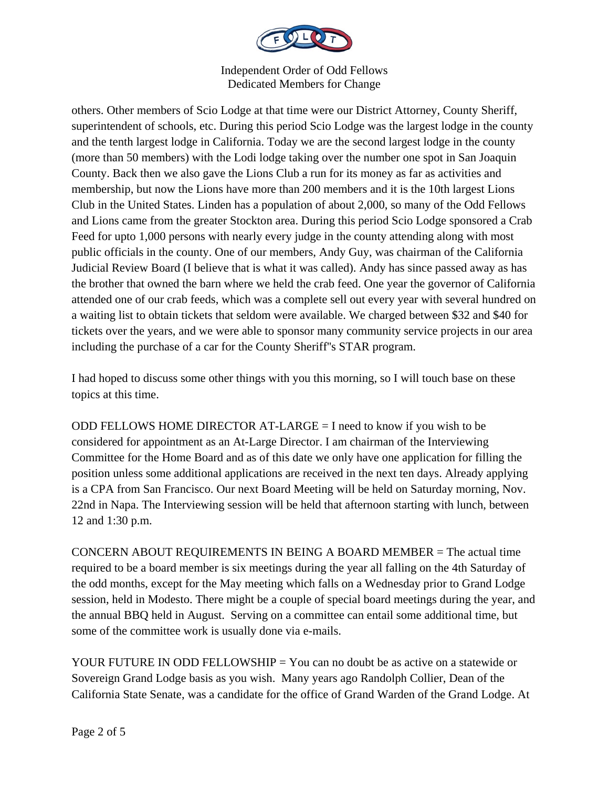

others. Other members of Scio Lodge at that time were our District Attorney, County Sheriff, superintendent of schools, etc. During this period Scio Lodge was the largest lodge in the county and the tenth largest lodge in California. Today we are the second largest lodge in the county (more than 50 members) with the Lodi lodge taking over the number one spot in San Joaquin County. Back then we also gave the Lions Club a run for its money as far as activities and membership, but now the Lions have more than 200 members and it is the 10th largest Lions Club in the United States. Linden has a population of about 2,000, so many of the Odd Fellows and Lions came from the greater Stockton area. During this period Scio Lodge sponsored a Crab Feed for upto 1,000 persons with nearly every judge in the county attending along with most public officials in the county. One of our members, Andy Guy, was chairman of the California Judicial Review Board (I believe that is what it was called). Andy has since passed away as has the brother that owned the barn where we held the crab feed. One year the governor of California attended one of our crab feeds, which was a complete sell out every year with several hundred on a waiting list to obtain tickets that seldom were available. We charged between \$32 and \$40 for tickets over the years, and we were able to sponsor many community service projects in our area including the purchase of a car for the County Sheriff''s STAR program.

I had hoped to discuss some other things with you this morning, so I will touch base on these topics at this time.

ODD FELLOWS HOME DIRECTOR AT-LARGE = I need to know if you wish to be considered for appointment as an At-Large Director. I am chairman of the Interviewing Committee for the Home Board and as of this date we only have one application for filling the position unless some additional applications are received in the next ten days. Already applying is a CPA from San Francisco. Our next Board Meeting will be held on Saturday morning, Nov. 22nd in Napa. The Interviewing session will be held that afternoon starting with lunch, between 12 and 1:30 p.m.

CONCERN ABOUT REQUIREMENTS IN BEING A BOARD MEMBER = The actual time required to be a board member is six meetings during the year all falling on the 4th Saturday of the odd months, except for the May meeting which falls on a Wednesday prior to Grand Lodge session, held in Modesto. There might be a couple of special board meetings during the year, and the annual BBQ held in August. Serving on a committee can entail some additional time, but some of the committee work is usually done via e-mails.

YOUR FUTURE IN ODD FELLOWSHIP = You can no doubt be as active on a statewide or Sovereign Grand Lodge basis as you wish. Many years ago Randolph Collier, Dean of the California State Senate, was a candidate for the office of Grand Warden of the Grand Lodge. At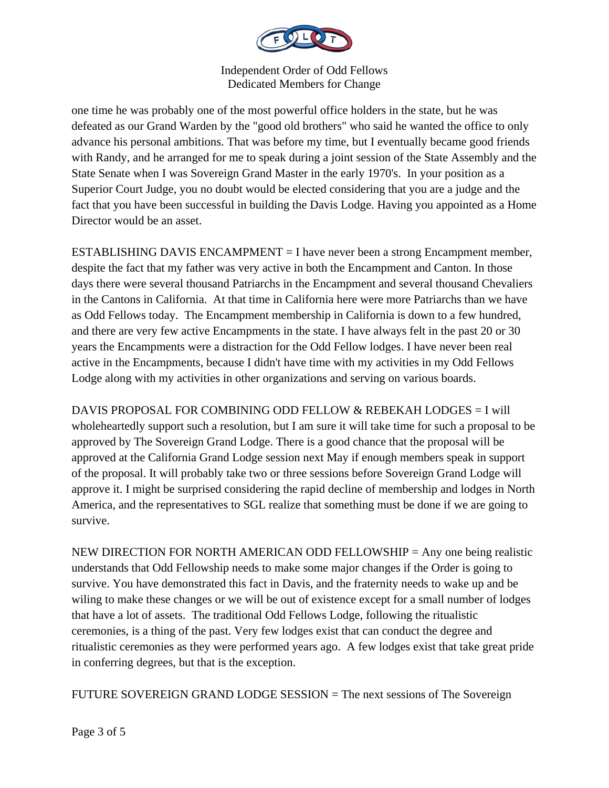

one time he was probably one of the most powerful office holders in the state, but he was defeated as our Grand Warden by the "good old brothers" who said he wanted the office to only advance his personal ambitions. That was before my time, but I eventually became good friends with Randy, and he arranged for me to speak during a joint session of the State Assembly and the State Senate when I was Sovereign Grand Master in the early 1970's. In your position as a Superior Court Judge, you no doubt would be elected considering that you are a judge and the fact that you have been successful in building the Davis Lodge. Having you appointed as a Home Director would be an asset.

ESTABLISHING DAVIS ENCAMPMENT = I have never been a strong Encampment member, despite the fact that my father was very active in both the Encampment and Canton. In those days there were several thousand Patriarchs in the Encampment and several thousand Chevaliers in the Cantons in California. At that time in California here were more Patriarchs than we have as Odd Fellows today. The Encampment membership in California is down to a few hundred, and there are very few active Encampments in the state. I have always felt in the past 20 or 30 years the Encampments were a distraction for the Odd Fellow lodges. I have never been real active in the Encampments, because I didn't have time with my activities in my Odd Fellows Lodge along with my activities in other organizations and serving on various boards.

DAVIS PROPOSAL FOR COMBINING ODD FELLOW & REBEKAH LODGES = I will wholeheartedly support such a resolution, but I am sure it will take time for such a proposal to be approved by The Sovereign Grand Lodge. There is a good chance that the proposal will be approved at the California Grand Lodge session next May if enough members speak in support of the proposal. It will probably take two or three sessions before Sovereign Grand Lodge will approve it. I might be surprised considering the rapid decline of membership and lodges in North America, and the representatives to SGL realize that something must be done if we are going to survive.

NEW DIRECTION FOR NORTH AMERICAN ODD FELLOWSHIP = Any one being realistic understands that Odd Fellowship needs to make some major changes if the Order is going to survive. You have demonstrated this fact in Davis, and the fraternity needs to wake up and be wiling to make these changes or we will be out of existence except for a small number of lodges that have a lot of assets. The traditional Odd Fellows Lodge, following the ritualistic ceremonies, is a thing of the past. Very few lodges exist that can conduct the degree and ritualistic ceremonies as they were performed years ago. A few lodges exist that take great pride in conferring degrees, but that is the exception.

FUTURE SOVEREIGN GRAND LODGE SESSION = The next sessions of The Sovereign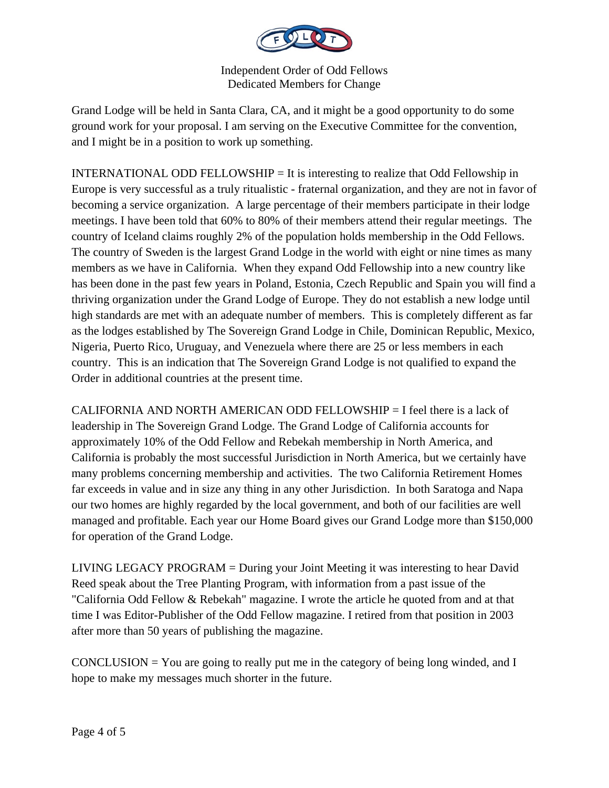

Grand Lodge will be held in Santa Clara, CA, and it might be a good opportunity to do some ground work for your proposal. I am serving on the Executive Committee for the convention, and I might be in a position to work up something.

INTERNATIONAL ODD FELLOWSHIP  $=$  It is interesting to realize that Odd Fellowship in Europe is very successful as a truly ritualistic - fraternal organization, and they are not in favor of becoming a service organization. A large percentage of their members participate in their lodge meetings. I have been told that 60% to 80% of their members attend their regular meetings. The country of Iceland claims roughly 2% of the population holds membership in the Odd Fellows. The country of Sweden is the largest Grand Lodge in the world with eight or nine times as many members as we have in California. When they expand Odd Fellowship into a new country like has been done in the past few years in Poland, Estonia, Czech Republic and Spain you will find a thriving organization under the Grand Lodge of Europe. They do not establish a new lodge until high standards are met with an adequate number of members. This is completely different as far as the lodges established by The Sovereign Grand Lodge in Chile, Dominican Republic, Mexico, Nigeria, Puerto Rico, Uruguay, and Venezuela where there are 25 or less members in each country. This is an indication that The Sovereign Grand Lodge is not qualified to expand the Order in additional countries at the present time.

CALIFORNIA AND NORTH AMERICAN ODD FELLOWSHIP = I feel there is a lack of leadership in The Sovereign Grand Lodge. The Grand Lodge of California accounts for approximately 10% of the Odd Fellow and Rebekah membership in North America, and California is probably the most successful Jurisdiction in North America, but we certainly have many problems concerning membership and activities. The two California Retirement Homes far exceeds in value and in size any thing in any other Jurisdiction. In both Saratoga and Napa our two homes are highly regarded by the local government, and both of our facilities are well managed and profitable. Each year our Home Board gives our Grand Lodge more than \$150,000 for operation of the Grand Lodge.

LIVING LEGACY PROGRAM = During your Joint Meeting it was interesting to hear David Reed speak about the Tree Planting Program, with information from a past issue of the "California Odd Fellow & Rebekah" magazine. I wrote the article he quoted from and at that time I was Editor-Publisher of the Odd Fellow magazine. I retired from that position in 2003 after more than 50 years of publishing the magazine.

CONCLUSION  $=$  You are going to really put me in the category of being long winded, and I hope to make my messages much shorter in the future.